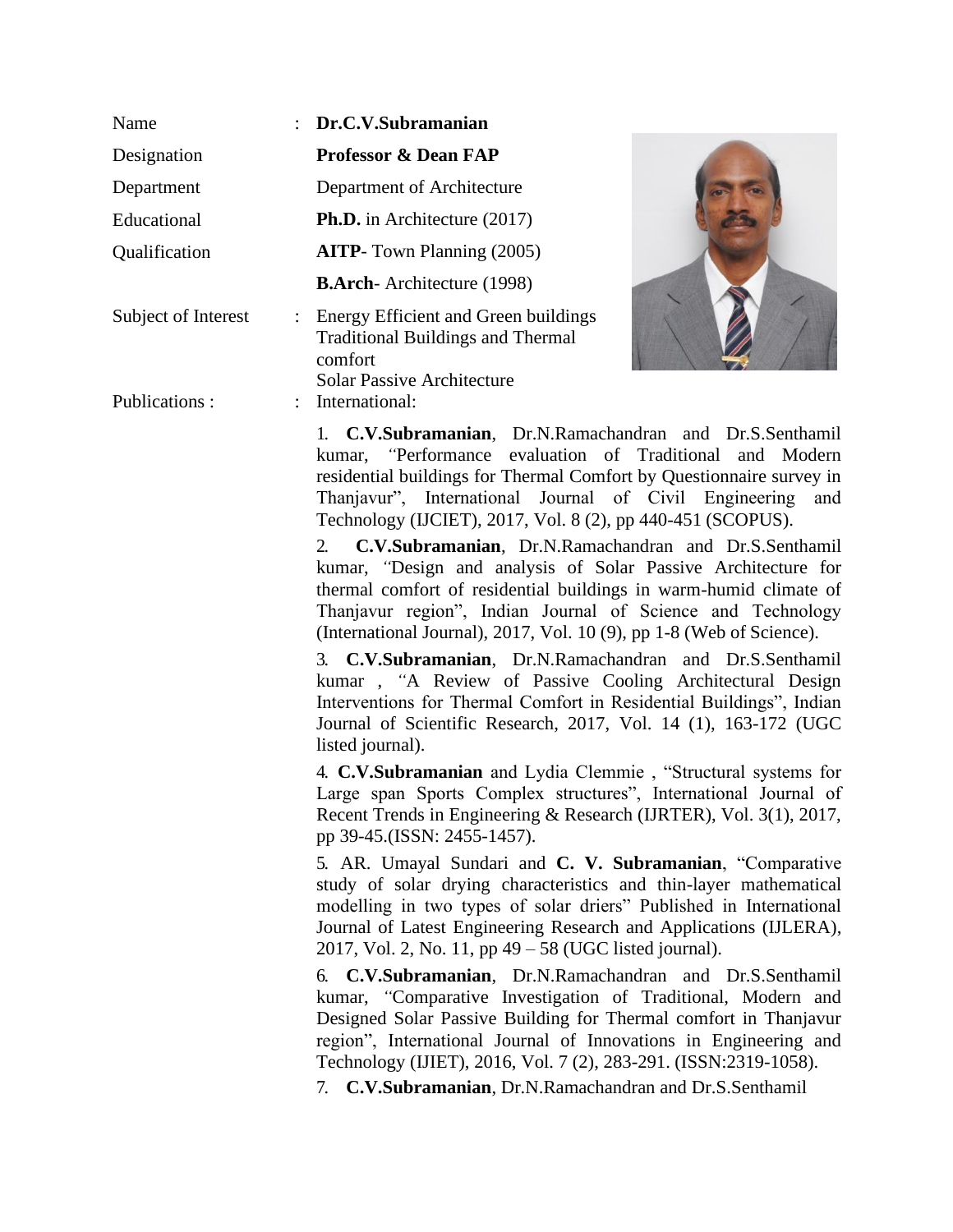| Name                                        | $\therefore$ Dr.C.V.Subramanian                                                                                                  |
|---------------------------------------------|----------------------------------------------------------------------------------------------------------------------------------|
| Designation                                 | <b>Professor &amp; Dean FAP</b>                                                                                                  |
| Department                                  | Department of Architecture                                                                                                       |
| Educational                                 | <b>Ph.D.</b> in Architecture (2017)                                                                                              |
| Qualification                               | <b>AITP</b> -Town Planning (2005)                                                                                                |
|                                             | <b>B.Arch</b> -Architecture (1998)                                                                                               |
| Subject of Interest<br>$\ddot{\phantom{0}}$ | Energy Efficient and Green buildings<br><b>Traditional Buildings and Thermal</b><br>comfort<br><b>Solar Passive Architecture</b> |
| Publications:                               | : International:                                                                                                                 |



1. **C.V.Subramanian**, Dr.N.Ramachandran and Dr.S.Senthamil kumar, *"*Performance evaluation of Traditional and Modern residential buildings for Thermal Comfort by Questionnaire survey in Thanjavur", International Journal of Civil Engineering and Technology (IJCIET), 2017, Vol. 8 (2), pp 440-451 (SCOPUS).

2. **C.V.Subramanian**, Dr.N.Ramachandran and Dr.S.Senthamil kumar, *"*Design and analysis of Solar Passive Architecture for thermal comfort of residential buildings in warm-humid climate of Thanjavur region", Indian Journal of Science and Technology (International Journal), 2017, Vol. 10 (9), pp 1-8 (Web of Science).

3. **C.V.Subramanian**, Dr.N.Ramachandran and Dr.S.Senthamil kumar , *"*A Review of Passive Cooling Architectural Design Interventions for Thermal Comfort in Residential Buildings", Indian Journal of Scientific Research, 2017, Vol. 14 (1), 163-172 (UGC listed journal).

4. **C.V.Subramanian** and Lydia Clemmie , "Structural systems for Large span Sports Complex structures", International Journal of Recent Trends in Engineering & Research (IJRTER), Vol. 3(1), 2017, pp 39-45.(ISSN: 2455-1457).

5. AR. Umayal Sundari and **C. V. Subramanian**, "Comparative study of solar drying characteristics and thin-layer mathematical modelling in two types of solar driers" Published in International Journal of Latest Engineering Research and Applications (IJLERA), 2017, Vol. 2, No. 11, pp 49 – 58 (UGC listed journal).

6. **C.V.Subramanian**, Dr.N.Ramachandran and Dr.S.Senthamil kumar, *"*Comparative Investigation of Traditional, Modern and Designed Solar Passive Building for Thermal comfort in Thanjavur region", International Journal of Innovations in Engineering and Technology (IJIET), 2016, Vol. 7 (2), 283-291. (ISSN:2319-1058).

7. **C.V.Subramanian**, Dr.N.Ramachandran and Dr.S.Senthamil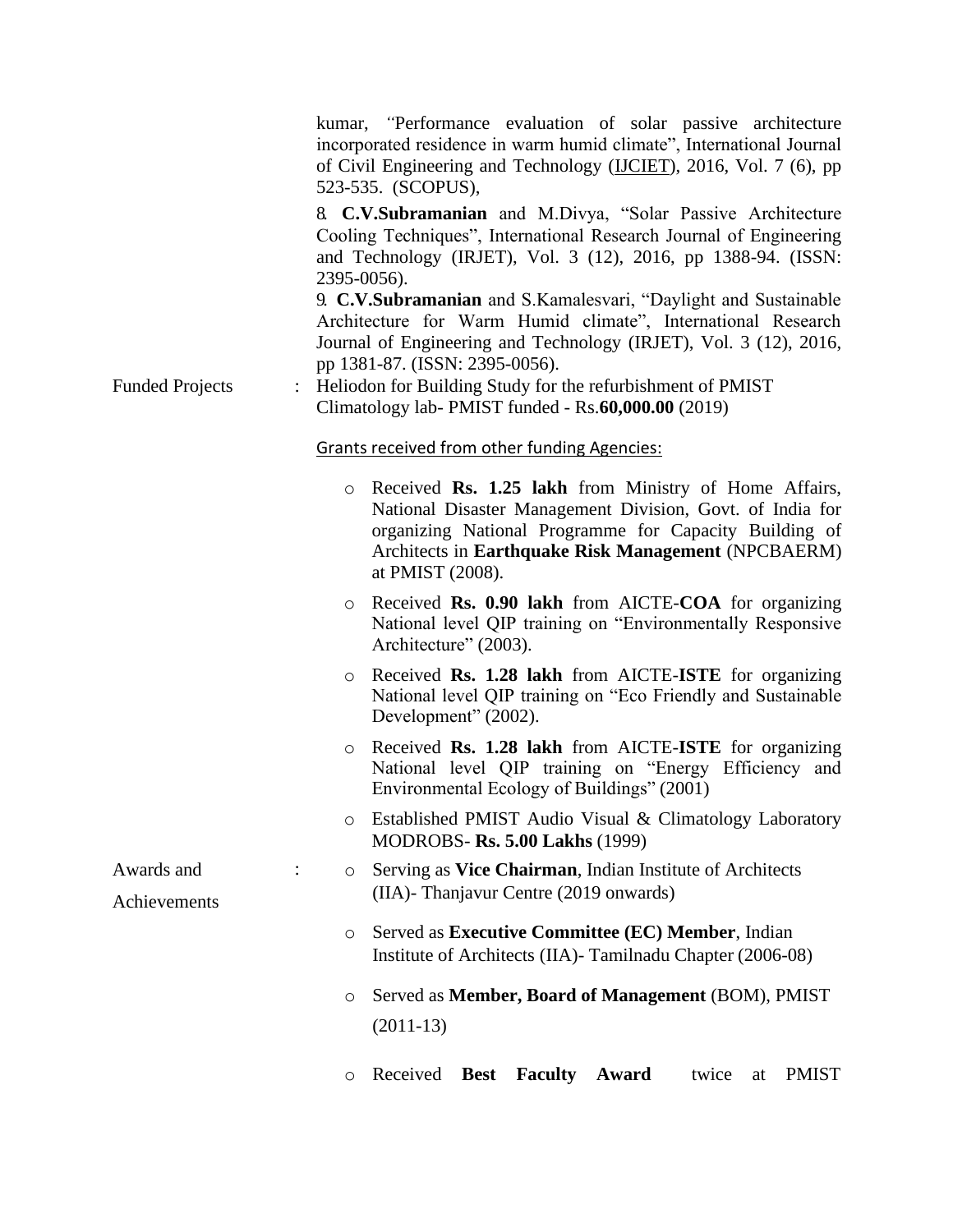|                            |             | kumar, "Performance evaluation of solar passive architecture<br>incorporated residence in warm humid climate", International Journal<br>of Civil Engineering and Technology (IJCIET), 2016, Vol. 7 (6), pp<br>523-535. (SCOPUS),                        |
|----------------------------|-------------|---------------------------------------------------------------------------------------------------------------------------------------------------------------------------------------------------------------------------------------------------------|
|                            | 2395-0056). | 8. C.V.Subramanian and M.Divya, "Solar Passive Architecture<br>Cooling Techniques", International Research Journal of Engineering<br>and Technology (IRJET), Vol. 3 (12), 2016, pp 1388-94. (ISSN:                                                      |
|                            |             | 9. C.V.Subramanian and S.Kamalesvari, "Daylight and Sustainable<br>Architecture for Warm Humid climate", International Research<br>Journal of Engineering and Technology (IRJET), Vol. 3 (12), 2016,<br>pp 1381-87. (ISSN: 2395-0056).                  |
| <b>Funded Projects</b>     |             | Heliodon for Building Study for the refurbishment of PMIST<br>Climatology lab- PMIST funded - Rs.60,000.00 (2019)                                                                                                                                       |
|                            |             | <b>Grants received from other funding Agencies:</b>                                                                                                                                                                                                     |
|                            | $\circ$     | Received Rs. 1.25 lakh from Ministry of Home Affairs,<br>National Disaster Management Division, Govt. of India for<br>organizing National Programme for Capacity Building of<br>Architects in Earthquake Risk Management (NPCBAERM)<br>at PMIST (2008). |
|                            | $\circ$     | Received Rs. 0.90 lakh from AICTE-COA for organizing<br>National level QIP training on "Environmentally Responsive<br>Architecture" (2003).                                                                                                             |
|                            | O           | Received Rs. 1.28 lakh from AICTE-ISTE for organizing<br>National level QIP training on "Eco Friendly and Sustainable<br>Development" (2002).                                                                                                           |
|                            | $\circ$     | Received Rs. 1.28 lakh from AICTE-ISTE for organizing<br>National level QIP training on "Energy Efficiency and<br>Environmental Ecology of Buildings" (2001)                                                                                            |
|                            | $\circ$     | Established PMIST Audio Visual & Climatology Laboratory<br><b>MODROBS- Rs. 5.00 Lakhs (1999)</b>                                                                                                                                                        |
| Awards and<br>Achievements | $\circ$     | Serving as Vice Chairman, Indian Institute of Architects<br>(IIA)- Thanjavur Centre (2019 onwards)                                                                                                                                                      |
|                            | $\circ$     | Served as Executive Committee (EC) Member, Indian<br>Institute of Architects (IIA) - Tamilnadu Chapter (2006-08)                                                                                                                                        |
|                            | O           | Served as Member, Board of Management (BOM), PMIST<br>$(2011-13)$                                                                                                                                                                                       |
|                            | O           | Received<br><b>Faculty</b><br><b>PMIST</b><br><b>Best</b><br>Award<br>twice<br>at                                                                                                                                                                       |